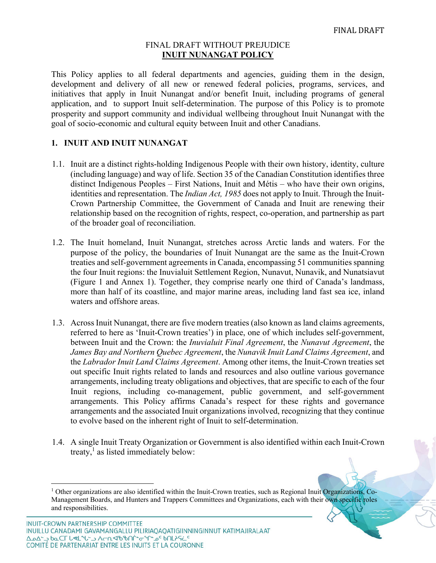#### FINAL DRAFT WITHOUT PREJUDICE **INUIT NUNANGAT POLICY**

This Policy applies to all federal departments and agencies, guiding them in the design, development and delivery of all new or renewed federal policies, programs, services, and initiatives that apply in Inuit Nunangat and/or benefit Inuit, including programs of general application, and to support Inuit self-determination. The purpose of this Policy is to promote prosperity and support community and individual wellbeing throughout Inuit Nunangat with the goal of socio-economic and cultural equity between Inuit and other Canadians.

### **1. INUIT AND INUIT NUNANGAT**

- 1.1. Inuit are a distinct rights-holding Indigenous People with their own history, identity, culture (including language) and way of life. Section 35 of the Canadian Constitution identifies three distinct Indigenous Peoples – First Nations, Inuit and Métis – who have their own origins, identities and representation. The *Indian Act, 1985* does not apply to Inuit. Through the Inuit-Crown Partnership Committee, the Government of Canada and Inuit are renewing their relationship based on the recognition of rights, respect, co-operation, and partnership as part of the broader goal of reconciliation.
- 1.2. The Inuit homeland, Inuit Nunangat, stretches across Arctic lands and waters. For the purpose of the policy, the boundaries of Inuit Nunangat are the same as the Inuit-Crown treaties and self-government agreements in Canada, encompassing 51 communities spanning the four Inuit regions: the Inuvialuit Settlement Region, Nunavut, Nunavik, and Nunatsiavut (Figure 1 and Annex 1). Together, they comprise nearly one third of Canada's landmass, more than half of its coastline, and major marine areas, including land fast sea ice, inland waters and offshore areas.
- 1.3. Across Inuit Nunangat, there are five modern treaties (also known as land claims agreements, referred to here as 'Inuit-Crown treaties') in place, one of which includes self-government, between Inuit and the Crown: the *Inuvialuit Final Agreement*, the *Nunavut Agreement*, the *James Bay and Northern Quebec Agreement*, the *Nunavik Inuit Land Claims Agreement*, and the *Labrador Inuit Land Claims Agreement*. Among other items, the Inuit-Crown treaties set out specific Inuit rights related to lands and resources and also outline various governance arrangements, including treaty obligations and objectives, that are specific to each of the four Inuit regions, including co-management, public government, and self-government arrangements. This Policy affirms Canada's respect for these rights and governance arrangements and the associated Inuit organizations involved, recognizing that they continue to evolve based on the inherent right of Inuit to self-determination.
- 1.4. A single Inuit Treaty Organization or Government is also identified within each Inuit-Crown treaty, $\frac{1}{1}$  as listed immediately below:

<sup>&</sup>lt;sup>1</sup> Other organizations are also identified within the Inuit-Crown treaties, such as Regional Inuit Organizations, Co-Management Boards, and Hunters and Trappers Committees and Organizations, each with their own specific roles and responsibilities.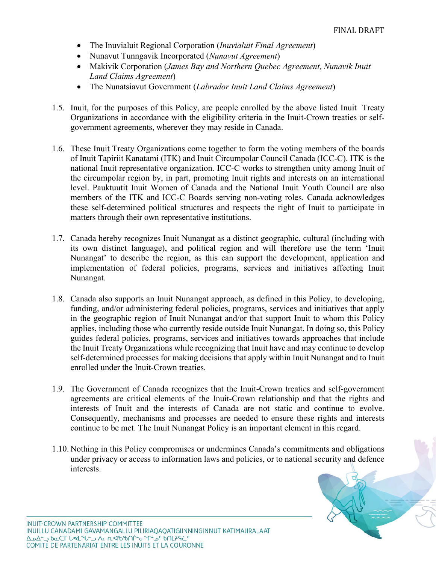- The Inuvialuit Regional Corporation (*Inuvialuit Final Agreement*)
- Nunavut Tunngavik Incorporated (*Nunavut Agreement*)
- Makivik Corporation (*James Bay and Northern Quebec Agreement, Nunavik Inuit Land Claims Agreement*)
- The Nunatsiavut Government (*Labrador Inuit Land Claims Agreement*)
- 1.5. Inuit, for the purposes of this Policy, are people enrolled by the above listed Inuit Treaty Organizations in accordance with the eligibility criteria in the Inuit-Crown treaties or selfgovernment agreements, wherever they may reside in Canada.
- 1.6. These Inuit Treaty Organizations come together to form the voting members of the boards of Inuit Tapiriit Kanatami (ITK) and Inuit Circumpolar Council Canada (ICC-C). ITK is the national Inuit representative organization. ICC-C works to strengthen unity among Inuit of the circumpolar region by, in part, promoting Inuit rights and interests on an international level. Pauktuutit Inuit Women of Canada and the National Inuit Youth Council are also members of the ITK and ICC-C Boards serving non-voting roles. Canada acknowledges these self-determined political structures and respects the right of Inuit to participate in matters through their own representative institutions.
- 1.7. Canada hereby recognizes Inuit Nunangat as a distinct geographic, cultural (including with its own distinct language), and political region and will therefore use the term 'Inuit Nunangat' to describe the region, as this can support the development, application and implementation of federal policies, programs, services and initiatives affecting Inuit Nunangat.
- 1.8. Canada also supports an Inuit Nunangat approach, as defined in this Policy, to developing, funding, and/or administering federal policies, programs, services and initiatives that apply in the geographic region of Inuit Nunangat and/or that support Inuit to whom this Policy applies, including those who currently reside outside Inuit Nunangat. In doing so, this Policy guides federal policies, programs, services and initiatives towards approaches that include the Inuit Treaty Organizations while recognizing that Inuit have and may continue to develop self-determined processes for making decisions that apply within Inuit Nunangat and to Inuit enrolled under the Inuit-Crown treaties.
- 1.9. The Government of Canada recognizes that the Inuit-Crown treaties and self-government agreements are critical elements of the Inuit-Crown relationship and that the rights and interests of Inuit and the interests of Canada are not static and continue to evolve. Consequently, mechanisms and processes are needed to ensure these rights and interests continue to be met. The Inuit Nunangat Policy is an important element in this regard.
- 1.10. Nothing in this Policy compromises or undermines Canada's commitments and obligations under privacy or access to information laws and policies, or to national security and defence interests.

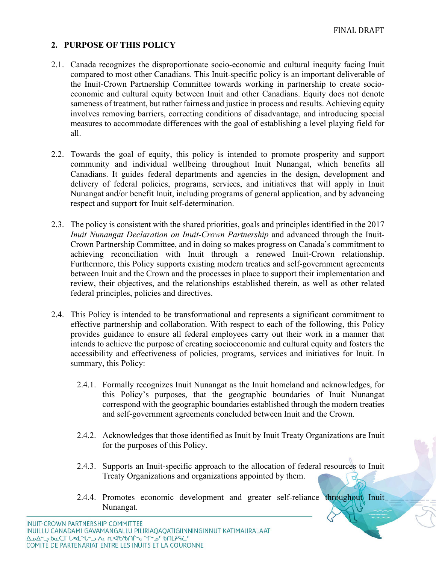### **2. PURPOSE OF THIS POLICY**

- 2.1. Canada recognizes the disproportionate socio-economic and cultural inequity facing Inuit compared to most other Canadians. This Inuit-specific policy is an important deliverable of the Inuit-Crown Partnership Committee towards working in partnership to create socioeconomic and cultural equity between Inuit and other Canadians. Equity does not denote sameness of treatment, but rather fairness and justice in process and results. Achieving equity involves removing barriers, correcting conditions of disadvantage, and introducing special measures to accommodate differences with the goal of establishing a level playing field for all.
- 2.2. Towards the goal of equity, this policy is intended to promote prosperity and support community and individual wellbeing throughout Inuit Nunangat, which benefits all Canadians. It guides federal departments and agencies in the design, development and delivery of federal policies, programs, services, and initiatives that will apply in Inuit Nunangat and/or benefit Inuit, including programs of general application, and by advancing respect and support for Inuit self-determination.
- 2.3. The policy is consistent with the shared priorities, goals and principles identified in the 2017 *Inuit Nunangat Declaration on Inuit-Crown Partnership* and advanced through the Inuit-Crown Partnership Committee, and in doing so makes progress on Canada's commitment to achieving reconciliation with Inuit through a renewed Inuit-Crown relationship. Furthermore, this Policy supports existing modern treaties and self-government agreements between Inuit and the Crown and the processes in place to support their implementation and review, their objectives, and the relationships established therein, as well as other related federal principles, policies and directives.
- 2.4. This Policy is intended to be transformational and represents a significant commitment to effective partnership and collaboration. With respect to each of the following, this Policy provides guidance to ensure all federal employees carry out their work in a manner that intends to achieve the purpose of creating socioeconomic and cultural equity and fosters the accessibility and effectiveness of policies, programs, services and initiatives for Inuit. In summary, this Policy:
	- 2.4.1. Formally recognizes Inuit Nunangat as the Inuit homeland and acknowledges, for this Policy's purposes, that the geographic boundaries of Inuit Nunangat correspond with the geographic boundaries established through the modern treaties and self-government agreements concluded between Inuit and the Crown.
	- 2.4.2. Acknowledges that those identified as Inuit by Inuit Treaty Organizations are Inuit for the purposes of this Policy.
	- 2.4.3. Supports an Inuit-specific approach to the allocation of federal resources to Inuit Treaty Organizations and organizations appointed by them.
	- 2.4.4. Promotes economic development and greater self-reliance throughout Inuit Nunangat.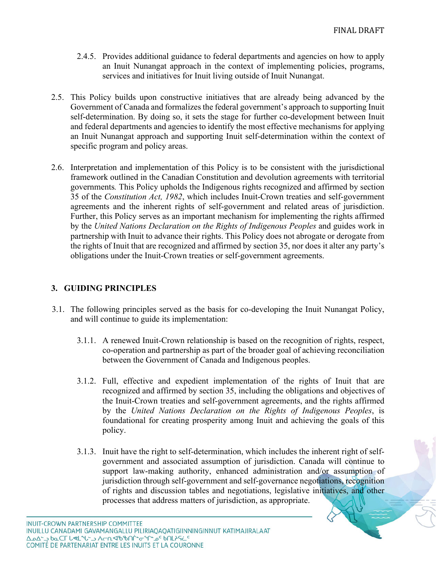- 2.4.5. Provides additional guidance to federal departments and agencies on how to apply an Inuit Nunangat approach in the context of implementing policies, programs, services and initiatives for Inuit living outside of Inuit Nunangat.
- 2.5. This Policy builds upon constructive initiatives that are already being advanced by the Government of Canada and formalizes the federal government's approach to supporting Inuit self-determination. By doing so, it sets the stage for further co-development between Inuit and federal departments and agencies to identify the most effective mechanisms for applying an Inuit Nunangat approach and supporting Inuit self-determination within the context of specific program and policy areas.
- 2.6. Interpretation and implementation of this Policy is to be consistent with the jurisdictional framework outlined in the Canadian Constitution and devolution agreements with territorial governments*.* This Policy upholds the Indigenous rights recognized and affirmed by section 35 of the *Constitution Act, 1982*, which includes Inuit-Crown treaties and self-government agreements and the inherent rights of self-government and related areas of jurisdiction. Further, this Policy serves as an important mechanism for implementing the rights affirmed by the *United Nations Declaration on the Rights of Indigenous Peoples* and guides work in partnership with Inuit to advance their rights. This Policy does not abrogate or derogate from the rights of Inuit that are recognized and affirmed by section 35, nor does it alter any party's obligations under the Inuit-Crown treaties or self-government agreements.

### **3. GUIDING PRINCIPLES**

- 3.1. The following principles served as the basis for co-developing the Inuit Nunangat Policy, and will continue to guide its implementation:
	- 3.1.1. A renewed Inuit-Crown relationship is based on the recognition of rights, respect, co-operation and partnership as part of the broader goal of achieving reconciliation between the Government of Canada and Indigenous peoples.
	- 3.1.2. Full, effective and expedient implementation of the rights of Inuit that are recognized and affirmed by section 35, including the obligations and objectives of the Inuit-Crown treaties and self-government agreements, and the rights affirmed by the *United Nations Declaration on the Rights of Indigenous Peoples*, is foundational for creating prosperity among Inuit and achieving the goals of this policy.
	- 3.1.3. Inuit have the right to self-determination, which includes the inherent right of selfgovernment and associated assumption of jurisdiction. Canada will continue to support law-making authority, enhanced administration and/or assumption of jurisdiction through self-government and self-governance negotiations, recognition of rights and discussion tables and negotiations, legislative initiatives, and other processes that address matters of jurisdiction, as appropriate.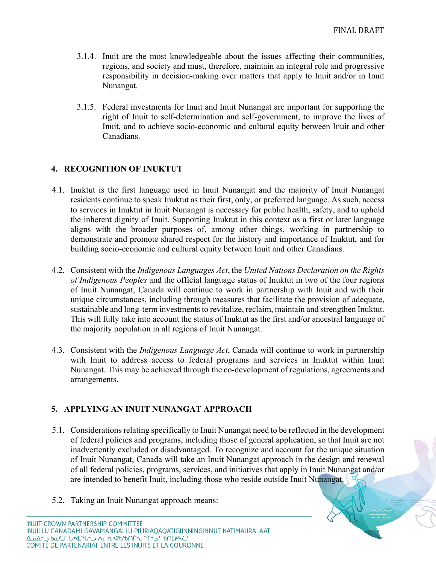- 3.1.4. Inuit are the most knowledgeable about the issues affecting their communities, regions, and society and must, therefore, maintain an integral role and progressive responsibility in decision-making over matters that apply to Inuit and/or in Inuit Nunangat.
- 3.1.5. Federal investments for Inuit and Inuit Nunangat are important for supporting the right of Inuit to self-determination and self-government, to improve the lives of Inuit, and to achieve socio-economic and cultural equity between Inuit and other Canadians.

### **4. RECOGNITION OF INUKTUT**

- 4.1. Inuktut is the first language used in Inuit Nunangat and the majority of Inuit Nunangat residents continue to speak Inuktut as their first, only, or preferred language. As such, access to services in Inuktut in Inuit Nunangat is necessary for public health, safety, and to uphold the inherent dignity of Inuit. Supporting Inuktut in this context as a first or later language aligns with the broader purposes of, among other things, working in partnership to demonstrate and promote shared respect for the history and importance of Inuktut, and for building socio-economic and cultural equity between Inuit and other Canadians.
- 4.2. Consistent with the *Indigenous Languages Act*, the *United Nations Declaration on the Rights of Indigenous Peoples* and the official language status of Inuktut in two of the four regions of Inuit Nunangat, Canada will continue to work in partnership with Inuit and with their unique circumstances, including through measures that facilitate the provision of adequate, sustainable and long-term investments to revitalize, reclaim, maintain and strengthen Inuktut. This will fully take into account the status of Inuktut as the first and/or ancestral language of the majority population in all regions of Inuit Nunangat.
- 4.3. Consistent with the *Indigenous Language Act*, Canada will continue to work in partnership with Inuit to address access to federal programs and services in Inuktut within Inuit Nunangat. This may be achieved through the co-development of regulations, agreements and arrangements.

### **5. APPLYING AN INUIT NUNANGAT APPROACH**

- 5.1. Considerations relating specifically to Inuit Nunangat need to be reflected in the development of federal policies and programs, including those of general application, so that Inuit are not inadvertently excluded or disadvantaged. To recognize and account for the unique situation of Inuit Nunangat, Canada will take an Inuit Nunangat approach in the design and renewal of all federal policies, programs, services, and initiatives that apply in Inuit Nunangat and/or are intended to benefit Inuit, including those who reside outside Inuit Nunangat.
- 5.2. Taking an Inuit Nunangat approach means: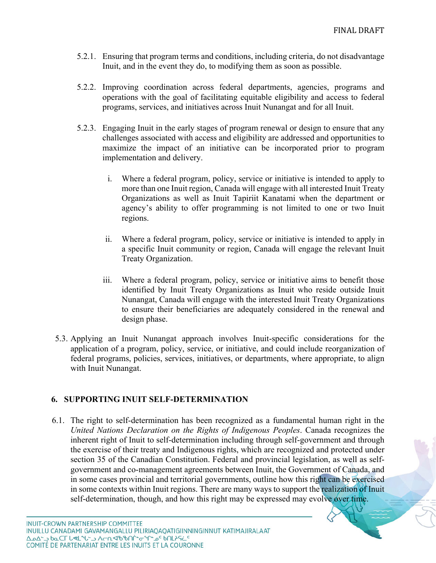- 5.2.1. Ensuring that program terms and conditions, including criteria, do not disadvantage Inuit, and in the event they do, to modifying them as soon as possible.
- 5.2.2. Improving coordination across federal departments, agencies, programs and operations with the goal of facilitating equitable eligibility and access to federal programs, services, and initiatives across Inuit Nunangat and for all Inuit.
- 5.2.3. Engaging Inuit in the early stages of program renewal or design to ensure that any challenges associated with access and eligibility are addressed and opportunities to maximize the impact of an initiative can be incorporated prior to program implementation and delivery.
	- i. Where a federal program, policy, service or initiative is intended to apply to more than one Inuit region, Canada will engage with all interested Inuit Treaty Organizations as well as Inuit Tapiriit Kanatami when the department or agency's ability to offer programming is not limited to one or two Inuit regions.
	- ii. Where a federal program, policy, service or initiative is intended to apply in a specific Inuit community or region, Canada will engage the relevant Inuit Treaty Organization.
	- iii. Where a federal program, policy, service or initiative aims to benefit those identified by Inuit Treaty Organizations as Inuit who reside outside Inuit Nunangat, Canada will engage with the interested Inuit Treaty Organizations to ensure their beneficiaries are adequately considered in the renewal and design phase.
- 5.3. Applying an Inuit Nunangat approach involves Inuit-specific considerations for the application of a program, policy, service, or initiative, and could include reorganization of federal programs, policies, services, initiatives, or departments, where appropriate, to align with Inuit Nunangat.

# **6. SUPPORTING INUIT SELF-DETERMINATION**

6.1. The right to self-determination has been recognized as a fundamental human right in the *United Nations Declaration on the Rights of Indigenous Peoples*. Canada recognizes the inherent right of Inuit to self-determination including through self-government and through the exercise of their treaty and Indigenous rights, which are recognized and protected under section 35 of the Canadian Constitution. Federal and provincial legislation, as well as selfgovernment and co-management agreements between Inuit, the Government of Canada, and in some cases provincial and territorial governments, outline how this right can be exercised in some contexts within Inuit regions. There are many ways to support the realization of Inuit self-determination, though, and how this right may be expressed may evolve over time.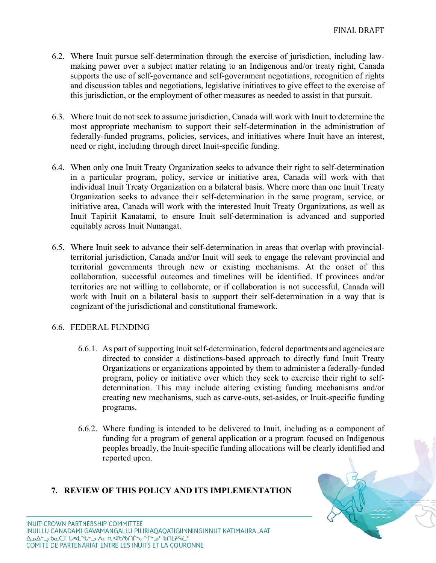- 6.2. Where Inuit pursue self-determination through the exercise of jurisdiction, including lawmaking power over a subject matter relating to an Indigenous and/or treaty right, Canada supports the use of self-governance and self-government negotiations, recognition of rights and discussion tables and negotiations, legislative initiatives to give effect to the exercise of this jurisdiction, or the employment of other measures as needed to assist in that pursuit.
- 6.3. Where Inuit do not seek to assume jurisdiction, Canada will work with Inuit to determine the most appropriate mechanism to support their self-determination in the administration of federally-funded programs, policies, services, and initiatives where Inuit have an interest, need or right, including through direct Inuit-specific funding.
- 6.4. When only one Inuit Treaty Organization seeks to advance their right to self-determination in a particular program, policy, service or initiative area, Canada will work with that individual Inuit Treaty Organization on a bilateral basis. Where more than one Inuit Treaty Organization seeks to advance their self-determination in the same program, service, or initiative area, Canada will work with the interested Inuit Treaty Organizations, as well as Inuit Tapiriit Kanatami, to ensure Inuit self-determination is advanced and supported equitably across Inuit Nunangat.
- 6.5. Where Inuit seek to advance their self-determination in areas that overlap with provincialterritorial jurisdiction, Canada and/or Inuit will seek to engage the relevant provincial and territorial governments through new or existing mechanisms. At the onset of this collaboration, successful outcomes and timelines will be identified. If provinces and/or territories are not willing to collaborate, or if collaboration is not successful, Canada will work with Inuit on a bilateral basis to support their self-determination in a way that is cognizant of the jurisdictional and constitutional framework.

#### 6.6. FEDERAL FUNDING

- 6.6.1. As part of supporting Inuit self-determination, federal departments and agencies are directed to consider a distinctions-based approach to directly fund Inuit Treaty Organizations or organizations appointed by them to administer a federally-funded program, policy or initiative over which they seek to exercise their right to selfdetermination. This may include altering existing funding mechanisms and/or creating new mechanisms, such as carve-outs, set-asides, or Inuit-specific funding programs.
- 6.6.2. Where funding is intended to be delivered to Inuit, including as a component of funding for a program of general application or a program focused on Indigenous peoples broadly, the Inuit-specific funding allocations will be clearly identified and reported upon.

### **7. REVIEW OF THIS POLICY AND ITS IMPLEMENTATION**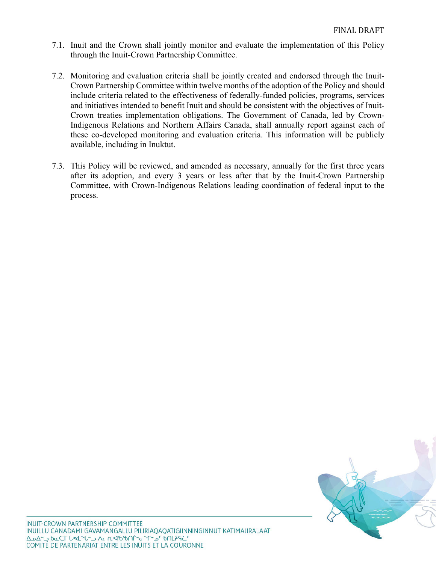- 7.1. Inuit and the Crown shall jointly monitor and evaluate the implementation of this Policy through the Inuit-Crown Partnership Committee.
- 7.2. Monitoring and evaluation criteria shall be jointly created and endorsed through the Inuit-Crown Partnership Committee within twelve months of the adoption of the Policy and should include criteria related to the effectiveness of federally-funded policies, programs, services and initiatives intended to benefit Inuit and should be consistent with the objectives of Inuit-Crown treaties implementation obligations. The Government of Canada, led by Crown-Indigenous Relations and Northern Affairs Canada, shall annually report against each of these co-developed monitoring and evaluation criteria. This information will be publicly available, including in Inuktut.
- 7.3. This Policy will be reviewed, and amended as necessary, annually for the first three years after its adoption, and every 3 years or less after that by the Inuit-Crown Partnership Committee, with Crown-Indigenous Relations leading coordination of federal input to the process.

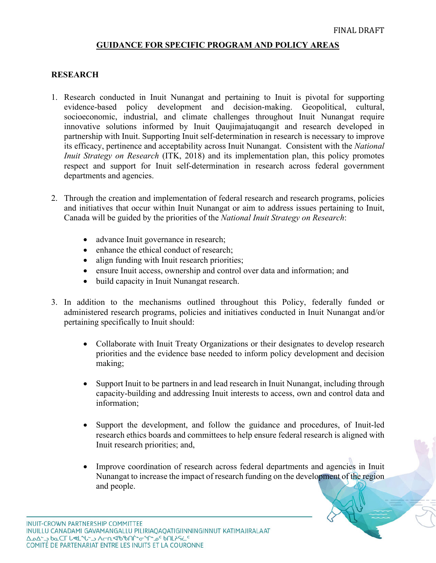#### **GUIDANCE FOR SPECIFIC PROGRAM AND POLICY AREAS**

#### **RESEARCH**

- 1. Research conducted in Inuit Nunangat and pertaining to Inuit is pivotal for supporting evidence-based policy development and decision-making. Geopolitical, cultural, socioeconomic, industrial, and climate challenges throughout Inuit Nunangat require innovative solutions informed by Inuit Qaujimajatuqangit and research developed in partnership with Inuit. Supporting Inuit self-determination in research is necessary to improve its efficacy, pertinence and acceptability across Inuit Nunangat. Consistent with the *National Inuit Strategy on Research* (ITK, 2018) and its implementation plan, this policy promotes respect and support for Inuit self-determination in research across federal government departments and agencies.
- 2. Through the creation and implementation of federal research and research programs, policies and initiatives that occur within Inuit Nunangat or aim to address issues pertaining to Inuit, Canada will be guided by the priorities of the *National Inuit Strategy on Research*:
	- advance Inuit governance in research;
	- enhance the ethical conduct of research;
	- align funding with Inuit research priorities;
	- ensure Inuit access, ownership and control over data and information; and
	- build capacity in Inuit Nunangat research.
- 3. In addition to the mechanisms outlined throughout this Policy, federally funded or administered research programs, policies and initiatives conducted in Inuit Nunangat and/or pertaining specifically to Inuit should:
	- Collaborate with Inuit Treaty Organizations or their designates to develop research priorities and the evidence base needed to inform policy development and decision making;
	- Support Inuit to be partners in and lead research in Inuit Nunangat, including through capacity-building and addressing Inuit interests to access, own and control data and information;
	- Support the development, and follow the guidance and procedures, of Inuit-led research ethics boards and committees to help ensure federal research is aligned with Inuit research priorities; and,
	- Improve coordination of research across federal departments and agencies in Inuit Nunangat to increase the impact of research funding on the development of the region and people.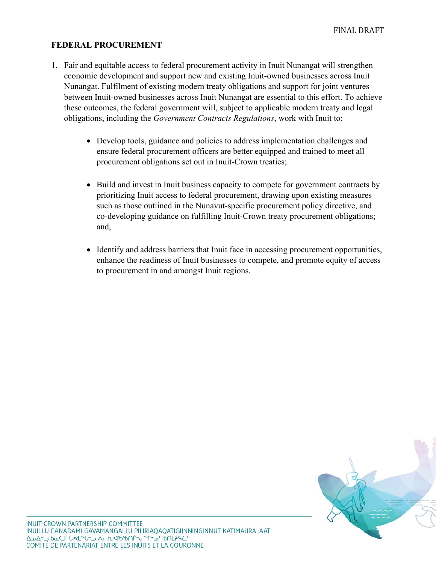### **FEDERAL PROCUREMENT**

- 1. Fair and equitable access to federal procurement activity in Inuit Nunangat will strengthen economic development and support new and existing Inuit-owned businesses across Inuit Nunangat. Fulfilment of existing modern treaty obligations and support for joint ventures between Inuit-owned businesses across Inuit Nunangat are essential to this effort. To achieve these outcomes, the federal government will, subject to applicable modern treaty and legal obligations, including the *Government Contracts Regulations*, work with Inuit to:
	- Develop tools, guidance and policies to address implementation challenges and ensure federal procurement officers are better equipped and trained to meet all procurement obligations set out in Inuit-Crown treaties;
	- Build and invest in Inuit business capacity to compete for government contracts by prioritizing Inuit access to federal procurement, drawing upon existing measures such as those outlined in the Nunavut-specific procurement policy directive, and co-developing guidance on fulfilling Inuit-Crown treaty procurement obligations; and,
	- Identify and address barriers that Inuit face in accessing procurement opportunities, enhance the readiness of Inuit businesses to compete, and promote equity of access to procurement in and amongst Inuit regions.

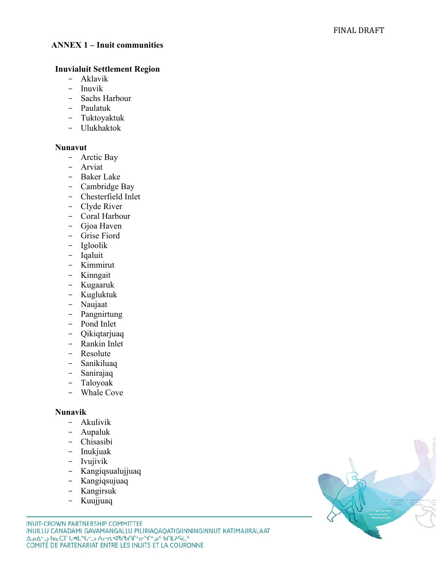#### **ANNEX 1 – Inuit communities**

#### **Inuvialuit Settlement Region**

- Aklavik
- Inuvik
- Sachs Harbour
- Paulatuk
- Tuktoyaktuk
- Ulukhaktok

### **Nunavut**

- Arctic Bay
- Arviat
- Baker Lake<br>- Cambridge
- Cambridge Bay
- Chesterfield Inlet
- Clyde River
- Coral Harbour
- Gjoa Haven
- Grise Fiord
- Igloolik
- Iqaluit
- Kimmirut
- Kinngait
- Kugaaruk
- Kugluktuk
- Naujaat
- Pangnirtung
- Pond Inlet
- Qikiqtarjuaq
- Rankin Inlet
- Resolute
- Sanikiluaq
- Sanirajaq
- Taloyoak
- Whale Cove

### **Nunavik**

- Akulivi k
- Aupalu k
- Chisasibi
- Inukjuak
- Ivujivik
- Kangiqsualujjua q
- Kan giqsujuaq
- Kan girsu k
- Kuujjua q